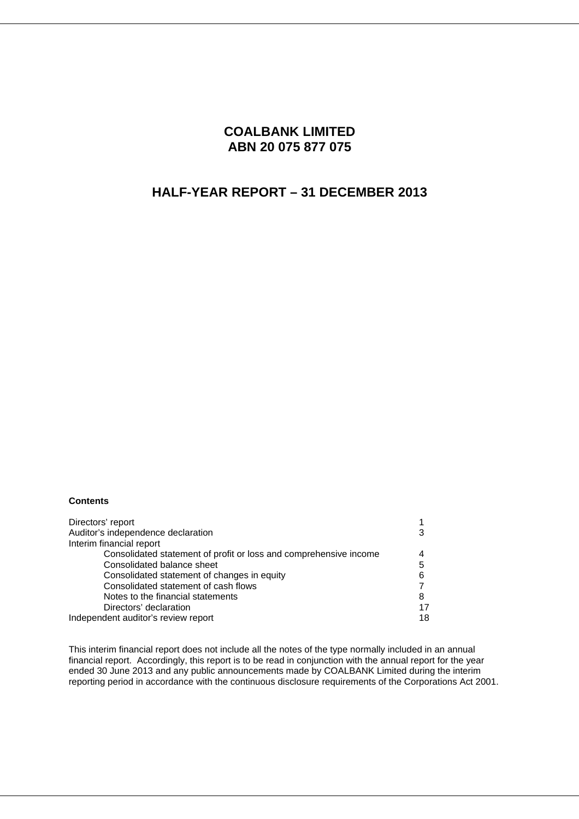## **COALBANK LIMITED ABN 20 075 877 075**

# **HALF-YEAR REPORT – 31 DECEMBER 2013**

### **Contents**

| Directors' report                                                 |    |
|-------------------------------------------------------------------|----|
| Auditor's independence declaration                                |    |
| Interim financial report                                          |    |
| Consolidated statement of profit or loss and comprehensive income |    |
| Consolidated balance sheet                                        | 5  |
| Consolidated statement of changes in equity                       | 6  |
| Consolidated statement of cash flows                              |    |
| Notes to the financial statements                                 | 8  |
| Directors' declaration                                            | 17 |
| Independent auditor's review report                               | 18 |

This interim financial report does not include all the notes of the type normally included in an annual financial report. Accordingly, this report is to be read in conjunction with the annual report for the year ended 30 June 2013 and any public announcements made by COALBANK Limited during the interim reporting period in accordance with the continuous disclosure requirements of the Corporations Act 2001.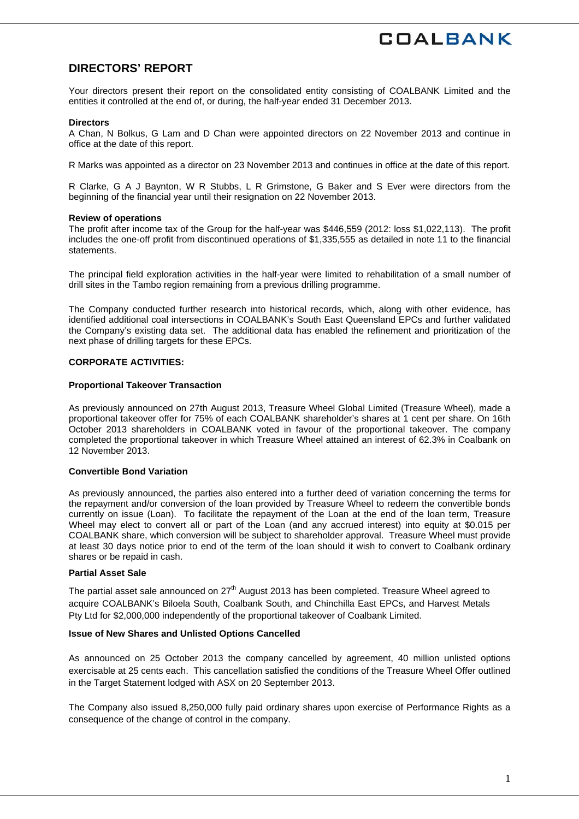## **DIRECTORS' REPORT**

Your directors present their report on the consolidated entity consisting of COALBANK Limited and the entities it controlled at the end of, or during, the half-year ended 31 December 2013.

#### **Directors**

A Chan, N Bolkus, G Lam and D Chan were appointed directors on 22 November 2013 and continue in office at the date of this report.

R Marks was appointed as a director on 23 November 2013 and continues in office at the date of this report.

R Clarke, G A J Baynton, W R Stubbs, L R Grimstone, G Baker and S Ever were directors from the beginning of the financial year until their resignation on 22 November 2013.

#### **Review of operations**

The profit after income tax of the Group for the half-year was \$446,559 (2012: loss \$1,022,113). The profit includes the one-off profit from discontinued operations of \$1,335,555 as detailed in note 11 to the financial **statements** 

The principal field exploration activities in the half-year were limited to rehabilitation of a small number of drill sites in the Tambo region remaining from a previous drilling programme.

The Company conducted further research into historical records, which, along with other evidence, has identified additional coal intersections in COALBANK's South East Queensland EPCs and further validated the Company's existing data set. The additional data has enabled the refinement and prioritization of the next phase of drilling targets for these EPCs.

### **CORPORATE ACTIVITIES:**

### **Proportional Takeover Transaction**

As previously announced on 27th August 2013, Treasure Wheel Global Limited (Treasure Wheel), made a proportional takeover offer for 75% of each COALBANK shareholder's shares at 1 cent per share. On 16th October 2013 shareholders in COALBANK voted in favour of the proportional takeover. The company completed the proportional takeover in which Treasure Wheel attained an interest of 62.3% in Coalbank on 12 November 2013.

### **Convertible Bond Variation**

As previously announced, the parties also entered into a further deed of variation concerning the terms for the repayment and/or conversion of the loan provided by Treasure Wheel to redeem the convertible bonds currently on issue (Loan). To facilitate the repayment of the Loan at the end of the loan term, Treasure Wheel may elect to convert all or part of the Loan (and any accrued interest) into equity at \$0.015 per COALBANK share, which conversion will be subject to shareholder approval. Treasure Wheel must provide at least 30 days notice prior to end of the term of the loan should it wish to convert to Coalbank ordinary shares or be repaid in cash.

#### **Partial Asset Sale**

The partial asset sale announced on 27<sup>th</sup> August 2013 has been completed. Treasure Wheel agreed to acquire COALBANK's Biloela South, Coalbank South, and Chinchilla East EPCs, and Harvest Metals Pty Ltd for \$2,000,000 independently of the proportional takeover of Coalbank Limited.

### **Issue of New Shares and Unlisted Options Cancelled**

As announced on 25 October 2013 the company cancelled by agreement, 40 million unlisted options exercisable at 25 cents each. This cancellation satisfied the conditions of the Treasure Wheel Offer outlined in the Target Statement lodged with ASX on 20 September 2013.

The Company also issued 8,250,000 fully paid ordinary shares upon exercise of Performance Rights as a consequence of the change of control in the company.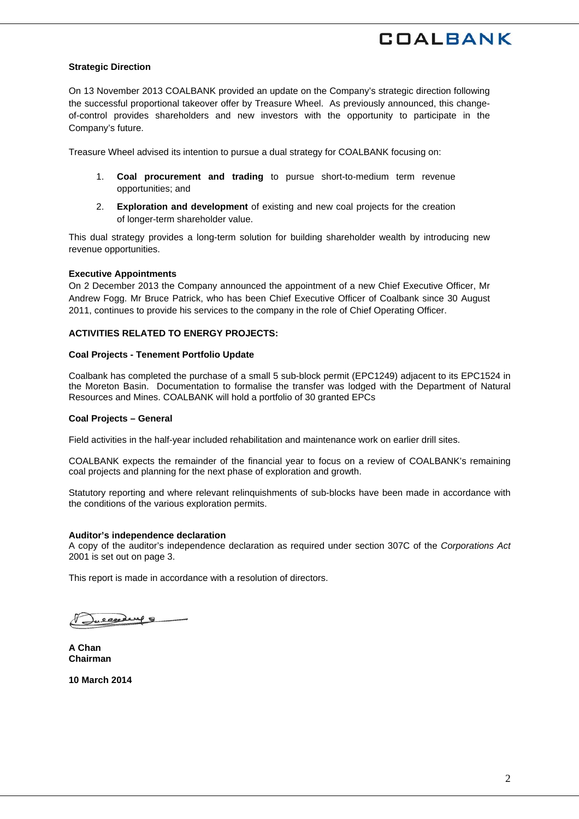### **Strategic Direction**

On 13 November 2013 COALBANK provided an update on the Company's strategic direction following the successful proportional takeover offer by Treasure Wheel. As previously announced, this changeof-control provides shareholders and new investors with the opportunity to participate in the Company's future.

Treasure Wheel advised its intention to pursue a dual strategy for COALBANK focusing on:

- 1. **Coal procurement and trading** to pursue short-to-medium term revenue opportunities; and
- 2. **Exploration and development** of existing and new coal projects for the creation of longer-term shareholder value.

This dual strategy provides a long-term solution for building shareholder wealth by introducing new revenue opportunities.

#### **Executive Appointments**

On 2 December 2013 the Company announced the appointment of a new Chief Executive Officer, Mr Andrew Fogg. Mr Bruce Patrick, who has been Chief Executive Officer of Coalbank since 30 August 2011, continues to provide his services to the company in the role of Chief Operating Officer.

### **ACTIVITIES RELATED TO ENERGY PROJECTS:**

#### **Coal Projects - Tenement Portfolio Update**

Coalbank has completed the purchase of a small 5 sub-block permit (EPC1249) adjacent to its EPC1524 in the Moreton Basin. Documentation to formalise the transfer was lodged with the Department of Natural Resources and Mines. COALBANK will hold a portfolio of 30 granted EPCs

#### **Coal Projects – General**

Field activities in the half-year included rehabilitation and maintenance work on earlier drill sites.

COALBANK expects the remainder of the financial year to focus on a review of COALBANK's remaining coal projects and planning for the next phase of exploration and growth.

Statutory reporting and where relevant relinquishments of sub-blocks have been made in accordance with the conditions of the various exploration permits.

### **Auditor's independence declaration**

A copy of the auditor's independence declaration as required under section 307C of the *Corporations Act*  2001 is set out on page 3.

This report is made in accordance with a resolution of directors.

alexand 9

**A Chan Chairman** 

**10 March 2014**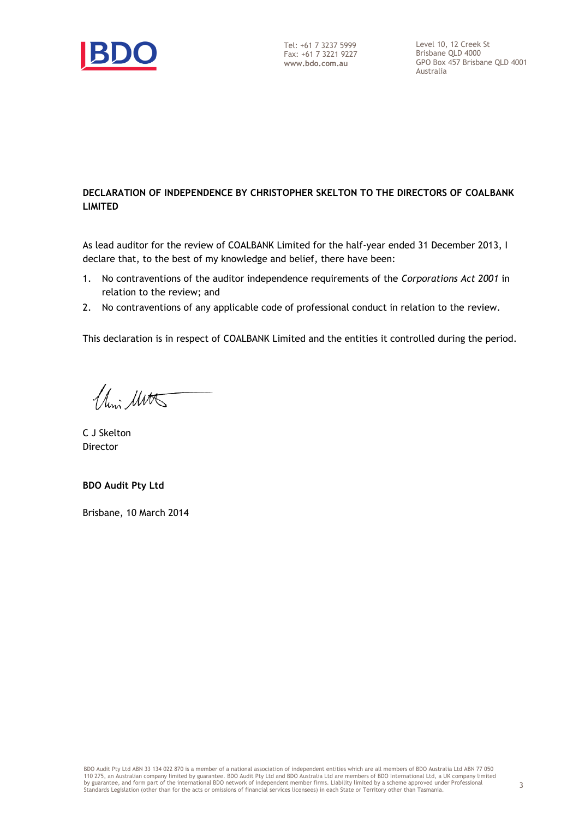

## **DECLARATION OF INDEPENDENCE BY CHRISTOPHER SKELTON TO THE DIRECTORS OF COALBANK LIMITED**

As lead auditor for the review of COALBANK Limited for the half-year ended 31 December 2013, I declare that, to the best of my knowledge and belief, there have been:

- 1. No contraventions of the auditor independence requirements of the *Corporations Act 2001* in relation to the review; and
- 2. No contraventions of any applicable code of professional conduct in relation to the review.

This declaration is in respect of COALBANK Limited and the entities it controlled during the period.

Chin Mitts

C J Skelton Director

**BDO Audit Pty Ltd**

Brisbane, 10 March 2014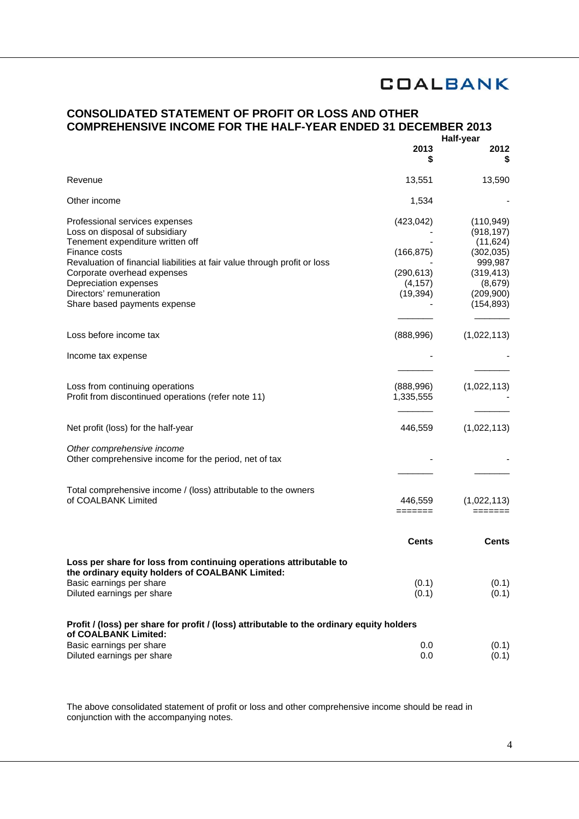## **CONSOLIDATED STATEMENT OF PROFIT OR LOSS AND OTHER COMPREHENSIVE INCOME FOR THE HALF-YEAR ENDED 31 DECEMBER 2013**

|                                                                                                                                                                                                                                                                                                                       | 2013<br>S                                                       | Half-year<br>2012                                                                                                   |
|-----------------------------------------------------------------------------------------------------------------------------------------------------------------------------------------------------------------------------------------------------------------------------------------------------------------------|-----------------------------------------------------------------|---------------------------------------------------------------------------------------------------------------------|
| Revenue                                                                                                                                                                                                                                                                                                               | 13,551                                                          | 13,590                                                                                                              |
| Other income                                                                                                                                                                                                                                                                                                          | 1,534                                                           |                                                                                                                     |
| Professional services expenses<br>Loss on disposal of subsidiary<br>Tenement expenditure written off<br>Finance costs<br>Revaluation of financial liabilities at fair value through profit or loss<br>Corporate overhead expenses<br>Depreciation expenses<br>Directors' remuneration<br>Share based payments expense | (423, 042)<br>(166, 875)<br>(290, 613)<br>(4, 157)<br>(19, 394) | (110, 949)<br>(918, 197)<br>(11, 624)<br>(302, 035)<br>999,987<br>(319, 413)<br>(8,679)<br>(209, 900)<br>(154, 893) |
| Loss before income tax<br>Income tax expense                                                                                                                                                                                                                                                                          | (888,996)                                                       | (1,022,113)                                                                                                         |
| Loss from continuing operations<br>Profit from discontinued operations (refer note 11)                                                                                                                                                                                                                                | (888,996)<br>1,335,555                                          | (1,022,113)                                                                                                         |
| Net profit (loss) for the half-year                                                                                                                                                                                                                                                                                   | 446,559                                                         | (1,022,113)                                                                                                         |
| Other comprehensive income<br>Other comprehensive income for the period, net of tax                                                                                                                                                                                                                                   |                                                                 |                                                                                                                     |
| Total comprehensive income / (loss) attributable to the owners<br>of COALBANK Limited                                                                                                                                                                                                                                 | 446,559<br>=======                                              | (1,022,113)<br>=======                                                                                              |
|                                                                                                                                                                                                                                                                                                                       | <b>Cents</b>                                                    | Cents                                                                                                               |
| Loss per share for loss from continuing operations attributable to<br>the ordinary equity holders of COALBANK Limited:<br>Basic earnings per share<br>Diluted earnings per share<br>Profit / (loss) per share for profit / (loss) attributable to the ordinary equity holders<br>of COALBANK Limited:                 | (0.1)<br>(0.1)                                                  | (0.1)<br>(0.1)                                                                                                      |
| Basic earnings per share<br>Diluted earnings per share                                                                                                                                                                                                                                                                | 0.0<br>0.0                                                      | (0.1)<br>(0.1)                                                                                                      |

The above consolidated statement of profit or loss and other comprehensive income should be read in conjunction with the accompanying notes.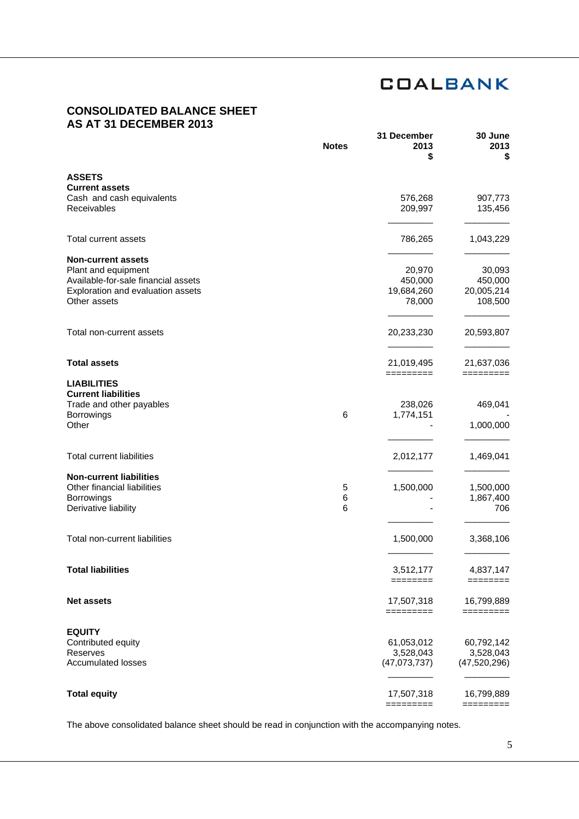## **CONSOLIDATED BALANCE SHEET AS AT 31 DECEMBER 2013**

|                                                  | <b>Notes</b> | 31 December<br>2013<br>\$ | 30 June<br>2013<br>5    |
|--------------------------------------------------|--------------|---------------------------|-------------------------|
| <b>ASSETS</b>                                    |              |                           |                         |
| <b>Current assets</b>                            |              |                           |                         |
| Cash and cash equivalents<br>Receivables         |              | 576,268<br>209,997        | 907,773<br>135,456      |
| <b>Total current assets</b>                      |              |                           |                         |
|                                                  |              | 786,265                   | 1,043,229               |
| <b>Non-current assets</b>                        |              |                           |                         |
| Plant and equipment                              |              | 20,970                    | 30,093                  |
| Available-for-sale financial assets              |              | 450,000                   | 450,000                 |
| Exploration and evaluation assets                |              | 19,684,260                | 20,005,214              |
| Other assets                                     |              | 78,000                    | 108,500                 |
| Total non-current assets                         |              | 20,233,230                | 20,593,807              |
| <b>Total assets</b>                              |              | 21,019,495                | 21,637,036              |
|                                                  |              | =========                 | =========               |
| <b>LIABILITIES</b><br><b>Current liabilities</b> |              |                           |                         |
| Trade and other payables                         |              | 238,026                   | 469,041                 |
| <b>Borrowings</b>                                | 6            | 1,774,151                 |                         |
| Other                                            |              |                           | 1,000,000               |
| <b>Total current liabilities</b>                 |              | 2,012,177                 | 1,469,041               |
| <b>Non-current liabilities</b>                   |              |                           |                         |
| Other financial liabilities                      | 5            | 1,500,000                 | 1,500,000               |
| <b>Borrowings</b>                                | 6            |                           | 1,867,400               |
| Derivative liability                             | 6            |                           | 706                     |
| Total non-current liabilities                    |              | 1,500,000                 | 3,368,106               |
|                                                  |              |                           |                         |
| <b>Total liabilities</b>                         |              | 3,512,177                 | 4,837,147               |
|                                                  |              | ========                  | ========                |
| <b>Net assets</b>                                |              | 17,507,318<br>=========   | 16,799,889<br>========= |
| <b>EQUITY</b>                                    |              |                           |                         |
| Contributed equity                               |              | 61,053,012                | 60,792,142              |
| Reserves                                         |              | 3,528,043                 | 3,528,043               |
| <b>Accumulated losses</b>                        |              | (47,073,737)              | (47,520,296)            |
|                                                  |              |                           |                         |
| <b>Total equity</b>                              |              | 17,507,318                | 16,799,889              |
|                                                  |              | =========                 | =========               |

The above consolidated balance sheet should be read in conjunction with the accompanying notes.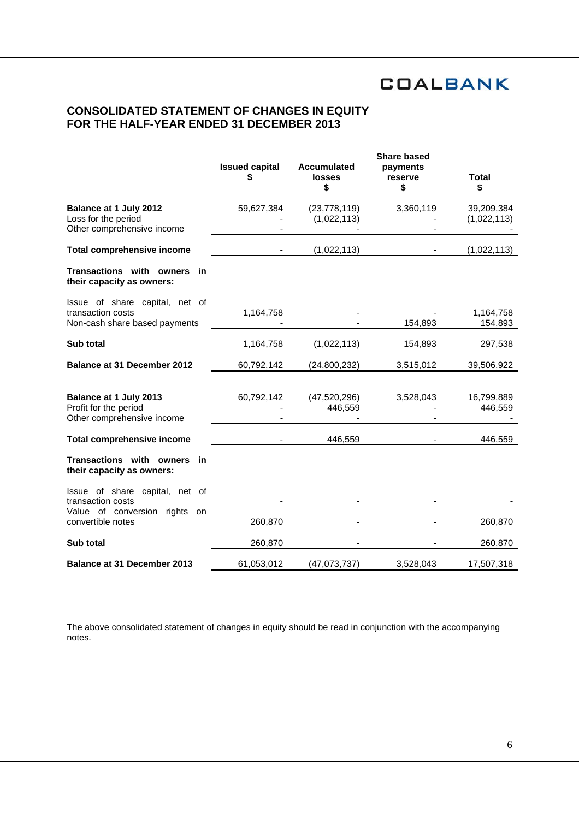## **CONSOLIDATED STATEMENT OF CHANGES IN EQUITY FOR THE HALF-YEAR ENDED 31 DECEMBER 2013**

|                                                                                      | <b>Issued capital</b><br>\$ | <b>Accumulated</b><br><b>losses</b><br>\$ | <b>Share based</b><br>payments<br>reserve<br>\$ | <b>Total</b><br>\$        |
|--------------------------------------------------------------------------------------|-----------------------------|-------------------------------------------|-------------------------------------------------|---------------------------|
| Balance at 1 July 2012<br>Loss for the period<br>Other comprehensive income          | 59,627,384                  | (23, 778, 119)<br>(1,022,113)             | 3,360,119                                       | 39,209,384<br>(1,022,113) |
| <b>Total comprehensive income</b>                                                    |                             | (1,022,113)                               |                                                 | (1,022,113)               |
| Transactions with owners in<br>their capacity as owners:                             |                             |                                           |                                                 |                           |
| Issue of share capital, net of<br>transaction costs<br>Non-cash share based payments | 1,164,758                   |                                           | 154,893                                         | 1,164,758<br>154,893      |
| Sub total                                                                            | 1,164,758                   | (1,022,113)                               | 154,893                                         | 297,538                   |
| <b>Balance at 31 December 2012</b>                                                   | 60,792,142                  | (24,800,232)                              | 3,515,012                                       | 39,506,922                |
| Balance at 1 July 2013<br>Profit for the period<br>Other comprehensive income        | 60,792,142                  | (47, 520, 296)<br>446,559                 | 3,528,043                                       | 16,799,889<br>446,559     |
| <b>Total comprehensive income</b>                                                    |                             | 446,559                                   |                                                 | 446,559                   |
| Transactions with owners<br>- in<br>their capacity as owners:                        |                             |                                           |                                                 |                           |
| Issue of share capital, net of<br>transaction costs<br>Value of conversion rights on |                             |                                           |                                                 |                           |
| convertible notes                                                                    | 260,870                     |                                           |                                                 | 260,870                   |
| Sub total                                                                            | 260,870                     |                                           |                                                 | 260,870                   |
| <b>Balance at 31 December 2013</b>                                                   | 61,053,012                  | (47,073,737)                              | 3,528,043                                       | 17,507,318                |

The above consolidated statement of changes in equity should be read in conjunction with the accompanying notes.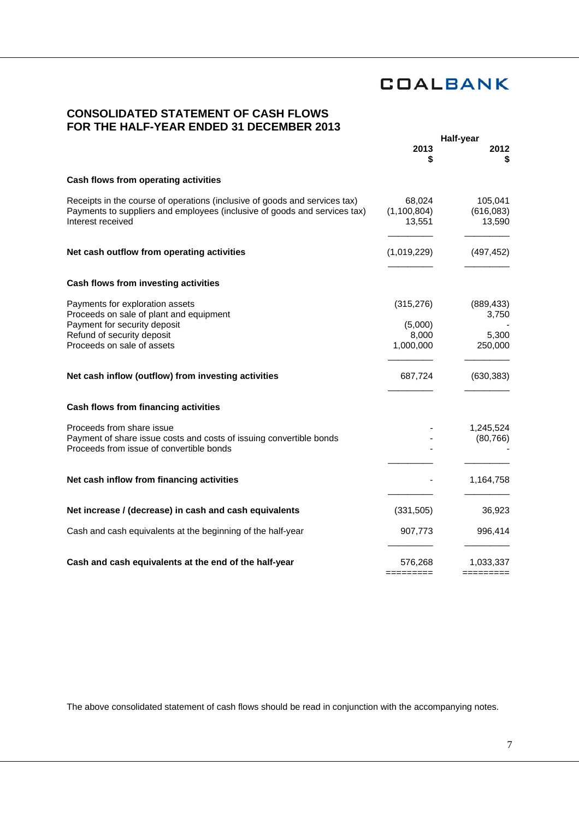## **CONSOLIDATED STATEMENT OF CASH FLOWS FOR THE HALF-YEAR ENDED 31 DECEMBER 2013**

| 2012<br>\$                     |
|--------------------------------|
|                                |
| 105,041<br>(616,083)<br>13,590 |
| (497, 452)                     |
|                                |
| (889, 433)<br>3,750            |
|                                |
| 5,300                          |
| 250,000                        |
| (630, 383)                     |
|                                |
| 1,245,524                      |
| (80, 766)                      |
|                                |
| 1,164,758                      |
| 36,923                         |
| 996,414                        |
| 1,033,337                      |
|                                |

The above consolidated statement of cash flows should be read in conjunction with the accompanying notes.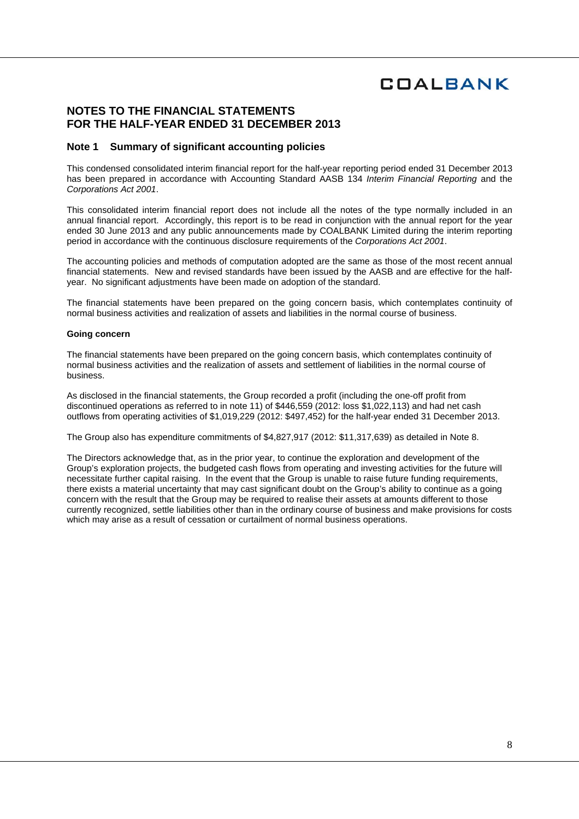## **NOTES TO THE FINANCIAL STATEMENTS FOR THE HALF-YEAR ENDED 31 DECEMBER 2013**

### **Note 1 Summary of significant accounting policies**

This condensed consolidated interim financial report for the half-year reporting period ended 31 December 2013 has been prepared in accordance with Accounting Standard AASB 134 *Interim Financial Reporting* and the *Corporations Act 2001*.

This consolidated interim financial report does not include all the notes of the type normally included in an annual financial report. Accordingly, this report is to be read in conjunction with the annual report for the year ended 30 June 2013 and any public announcements made by COALBANK Limited during the interim reporting period in accordance with the continuous disclosure requirements of the *Corporations Act 2001*.

The accounting policies and methods of computation adopted are the same as those of the most recent annual financial statements. New and revised standards have been issued by the AASB and are effective for the halfyear. No significant adjustments have been made on adoption of the standard.

The financial statements have been prepared on the going concern basis, which contemplates continuity of normal business activities and realization of assets and liabilities in the normal course of business.

#### **Going concern**

The financial statements have been prepared on the going concern basis, which contemplates continuity of normal business activities and the realization of assets and settlement of liabilities in the normal course of business.

As disclosed in the financial statements, the Group recorded a profit (including the one-off profit from discontinued operations as referred to in note 11) of \$446,559 (2012: loss \$1,022,113) and had net cash outflows from operating activities of \$1,019,229 (2012: \$497,452) for the half-year ended 31 December 2013.

The Group also has expenditure commitments of \$4,827,917 (2012: \$11,317,639) as detailed in Note 8.

The Directors acknowledge that, as in the prior year, to continue the exploration and development of the Group's exploration projects, the budgeted cash flows from operating and investing activities for the future will necessitate further capital raising. In the event that the Group is unable to raise future funding requirements, there exists a material uncertainty that may cast significant doubt on the Group's ability to continue as a going concern with the result that the Group may be required to realise their assets at amounts different to those currently recognized, settle liabilities other than in the ordinary course of business and make provisions for costs which may arise as a result of cessation or curtailment of normal business operations.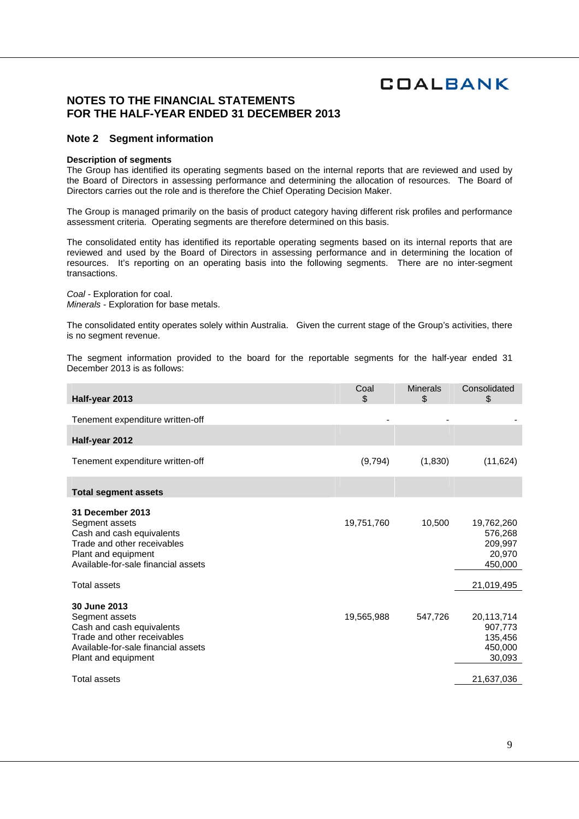## **NOTES TO THE FINANCIAL STATEMENTS FOR THE HALF-YEAR ENDED 31 DECEMBER 2013**

### **Note 2 Segment information**

#### **Description of segments**

The Group has identified its operating segments based on the internal reports that are reviewed and used by the Board of Directors in assessing performance and determining the allocation of resources. The Board of Directors carries out the role and is therefore the Chief Operating Decision Maker.

The Group is managed primarily on the basis of product category having different risk profiles and performance assessment criteria. Operating segments are therefore determined on this basis.

The consolidated entity has identified its reportable operating segments based on its internal reports that are reviewed and used by the Board of Directors in assessing performance and in determining the location of resources. It's reporting on an operating basis into the following segments. There are no inter-segment transactions.

*Coal -* Exploration for coal. *Minerals -* Exploration for base metals.

The consolidated entity operates solely within Australia. Given the current stage of the Group's activities, there is no segment revenue.

The segment information provided to the board for the reportable segments for the half-year ended 31 December 2013 is as follows:

| Half-year 2013                                                                                                                                                                      | Coal<br>\$ | <b>Minerals</b><br>\$ | Consolidated<br>\$                                                  |
|-------------------------------------------------------------------------------------------------------------------------------------------------------------------------------------|------------|-----------------------|---------------------------------------------------------------------|
| Tenement expenditure written-off                                                                                                                                                    |            |                       |                                                                     |
| Half-year 2012                                                                                                                                                                      |            |                       |                                                                     |
| Tenement expenditure written-off                                                                                                                                                    | (9,794)    | (1,830)               | (11, 624)                                                           |
| <b>Total segment assets</b>                                                                                                                                                         |            |                       |                                                                     |
| <b>31 December 2013</b><br>Segment assets<br>Cash and cash equivalents<br>Trade and other receivables<br>Plant and equipment<br>Available-for-sale financial assets<br>Total assets | 19,751,760 | 10,500                | 19,762,260<br>576,268<br>209,997<br>20,970<br>450,000<br>21,019,495 |
| 30 June 2013<br>Segment assets<br>Cash and cash equivalents<br>Trade and other receivables<br>Available-for-sale financial assets<br>Plant and equipment<br><b>Total assets</b>     | 19,565,988 | 547,726               | 20,113,714<br>907,773<br>135,456<br>450,000<br>30,093<br>21,637,036 |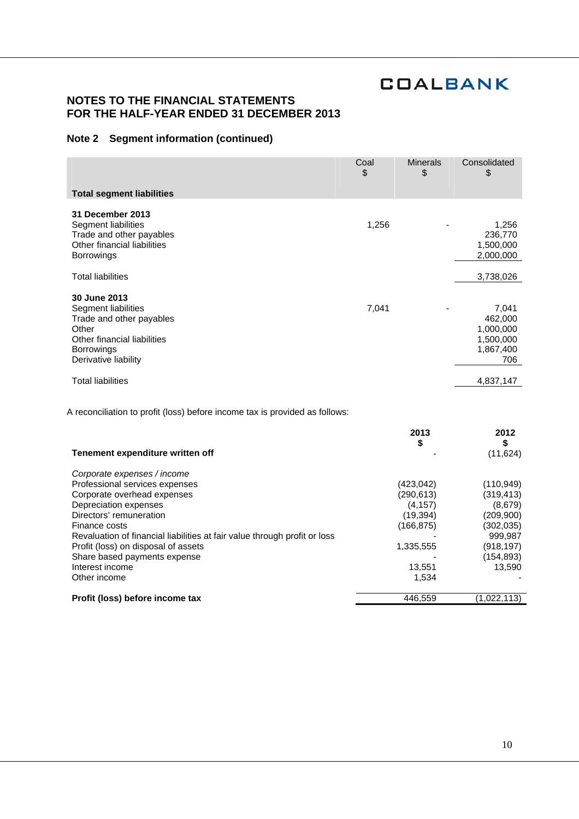## **NOTES TO THE FINANCIAL STATEMENTS FOR THE HALF-YEAR ENDED 31 DECEMBER 2013**

## **Note 2 Segment information (continued)**

| <b>Total segment liabilities</b>                                                                                                                     | Coal<br>\$ | <b>Minerals</b><br>\$ | Consolidated<br>\$                                             |
|------------------------------------------------------------------------------------------------------------------------------------------------------|------------|-----------------------|----------------------------------------------------------------|
| 31 December 2013<br>Segment liabilities<br>Trade and other payables<br>Other financial liabilities<br><b>Borrowings</b>                              | 1,256      |                       | 1,256<br>236,770<br>1,500,000<br>2,000,000                     |
| <b>Total liabilities</b>                                                                                                                             |            |                       | 3,738,026                                                      |
| 30 June 2013<br>Segment liabilities<br>Trade and other payables<br>Other<br>Other financial liabilities<br><b>Borrowings</b><br>Derivative liability | 7,041      |                       | 7,041<br>462,000<br>1,000,000<br>1,500,000<br>1,867,400<br>706 |
| <b>Total liabilities</b>                                                                                                                             |            |                       | 4,837,147                                                      |

A reconciliation to profit (loss) before income tax is provided as follows:

|                                                                           | 2013<br>\$ | 2012<br>\$  |
|---------------------------------------------------------------------------|------------|-------------|
| Tenement expenditure written off                                          |            | (11, 624)   |
| Corporate expenses / income                                               |            |             |
| Professional services expenses                                            | (423,042)  | (110, 949)  |
| Corporate overhead expenses                                               | (290,613)  | (319, 413)  |
| Depreciation expenses                                                     | (4, 157)   | (8,679)     |
| Directors' remuneration                                                   | (19, 394)  | (209, 900)  |
| Finance costs                                                             | (166,875)  | (302,035)   |
| Revaluation of financial liabilities at fair value through profit or loss |            | 999,987     |
| Profit (loss) on disposal of assets                                       | 1,335,555  | (918,197)   |
| Share based payments expense                                              |            | (154, 893)  |
| Interest income                                                           | 13,551     | 13.590      |
| Other income                                                              | 1,534      |             |
| Profit (loss) before income tax                                           | 446,559    | (1,022,113) |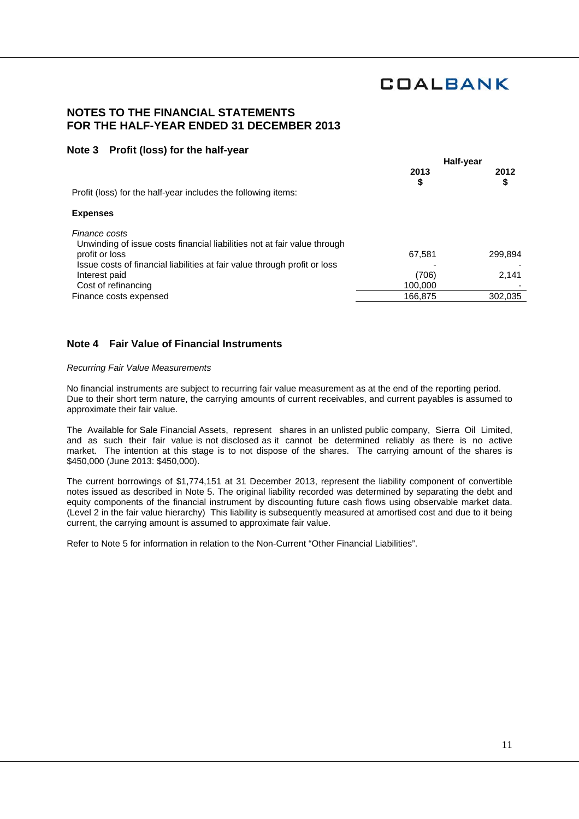## **NOTES TO THE FINANCIAL STATEMENTS FOR THE HALF-YEAR ENDED 31 DECEMBER 2013**

## **Note 3 Profit (loss) for the half-year**

|                                                                                           | Half-year |         |
|-------------------------------------------------------------------------------------------|-----------|---------|
|                                                                                           | 2013      | 2012    |
| Profit (loss) for the half-year includes the following items:                             | \$        | \$      |
| <b>Expenses</b>                                                                           |           |         |
| Finance costs<br>Unwinding of issue costs financial liabilities not at fair value through |           |         |
| profit or loss                                                                            | 67,581    | 299,894 |
| Issue costs of financial liabilities at fair value through profit or loss                 |           |         |
| Interest paid                                                                             | (706)     | 2,141   |
| Cost of refinancing                                                                       | 100,000   |         |
| Finance costs expensed                                                                    | 166.875   | 302,035 |
|                                                                                           |           |         |

## **Note 4 Fair Value of Financial Instruments**

### *Recurring Fair Value Measurements*

No financial instruments are subject to recurring fair value measurement as at the end of the reporting period. Due to their short term nature, the carrying amounts of current receivables, and current payables is assumed to approximate their fair value.

The Available for Sale Financial Assets, represent shares in an unlisted public company, Sierra Oil Limited, and as such their fair value is not disclosed as it cannot be determined reliably as there is no active market. The intention at this stage is to not dispose of the shares. The carrying amount of the shares is \$450,000 (June 2013: \$450,000).

The current borrowings of \$1,774,151 at 31 December 2013, represent the liability component of convertible notes issued as described in Note 5. The original liability recorded was determined by separating the debt and equity components of the financial instrument by discounting future cash flows using observable market data. (Level 2 in the fair value hierarchy) This liability is subsequently measured at amortised cost and due to it being current, the carrying amount is assumed to approximate fair value.

Refer to Note 5 for information in relation to the Non-Current "Other Financial Liabilities".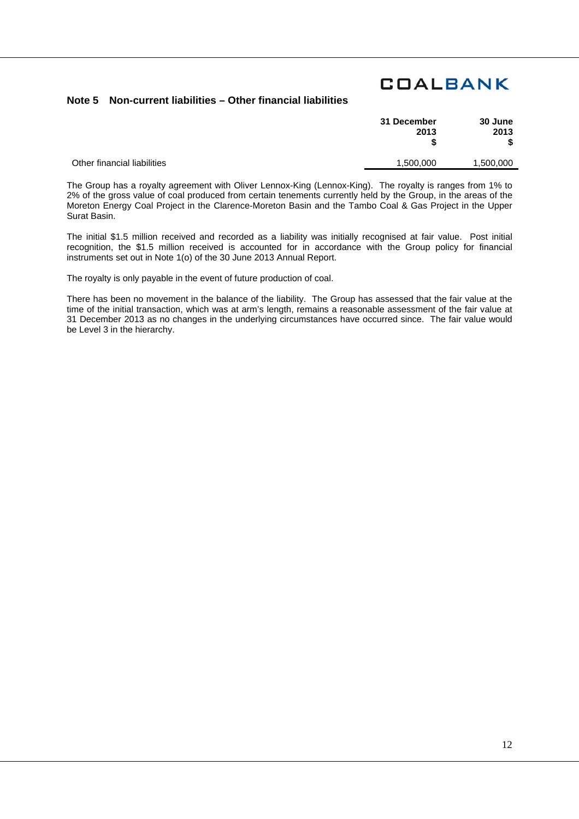## **Note 5 Non-current liabilities – Other financial liabilities**

| 30 June<br>2013<br>S | 31 December<br>2013 |
|----------------------|---------------------|
| 1.500.000            | 1.500.000           |

Other financial liabilities

The Group has a royalty agreement with Oliver Lennox-King (Lennox-King). The royalty is ranges from 1% to 2% of the gross value of coal produced from certain tenements currently held by the Group, in the areas of the Moreton Energy Coal Project in the Clarence-Moreton Basin and the Tambo Coal & Gas Project in the Upper Surat Basin.

The initial \$1.5 million received and recorded as a liability was initially recognised at fair value. Post initial recognition, the \$1.5 million received is accounted for in accordance with the Group policy for financial instruments set out in Note 1(o) of the 30 June 2013 Annual Report.

The royalty is only payable in the event of future production of coal.

There has been no movement in the balance of the liability. The Group has assessed that the fair value at the time of the initial transaction, which was at arm's length, remains a reasonable assessment of the fair value at 31 December 2013 as no changes in the underlying circumstances have occurred since. The fair value would be Level 3 in the hierarchy.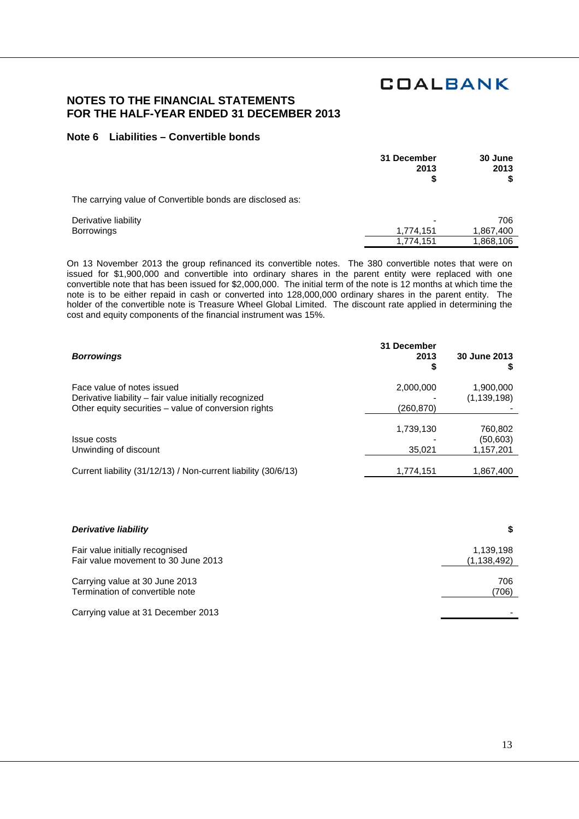## **NOTES TO THE FINANCIAL STATEMENTS FOR THE HALF-YEAR ENDED 31 DECEMBER 2013**

### **Note 6 Liabilities – Convertible bonds**

|                                                           | 31 December<br>2013 | 30 June<br>2013 |
|-----------------------------------------------------------|---------------------|-----------------|
| The carrying value of Convertible bonds are disclosed as: |                     |                 |
| Derivative liability                                      |                     | 706             |
| Borrowings                                                | 1,774,151           | 1,867,400       |
|                                                           | 1,774,151           | 1,868,106       |

On 13 November 2013 the group refinanced its convertible notes. The 380 convertible notes that were on issued for \$1,900,000 and convertible into ordinary shares in the parent entity were replaced with one convertible note that has been issued for \$2,000,000. The initial term of the note is 12 months at which time the note is to be either repaid in cash or converted into 128,000,000 ordinary shares in the parent entity. The holder of the convertible note is Treasure Wheel Global Limited. The discount rate applied in determining the cost and equity components of the financial instrument was 15%.

| <b>Borrowings</b>                                                                                                                            | 31 December<br>2013<br>\$ | 30 June 2013                      |
|----------------------------------------------------------------------------------------------------------------------------------------------|---------------------------|-----------------------------------|
| Face value of notes issued<br>Derivative liability – fair value initially recognized<br>Other equity securities - value of conversion rights | 2,000,000<br>(260,870)    | 1,900,000<br>(1,139,198)          |
| Issue costs<br>Unwinding of discount                                                                                                         | 1,739,130<br>35,021       | 760,802<br>(50, 603)<br>1,157,201 |
| Current liability (31/12/13) / Non-current liability (30/6/13)                                                                               | 1,774,151                 | 1,867,400                         |

| Derivative liability                | S           |
|-------------------------------------|-------------|
| Fair value initially recognised     | 1,139,198   |
| Fair value movement to 30 June 2013 | (1,138,492) |
| Carrying value at 30 June 2013      | 706         |
| Termination of convertible note     | (706)       |
| Carrying value at 31 December 2013  |             |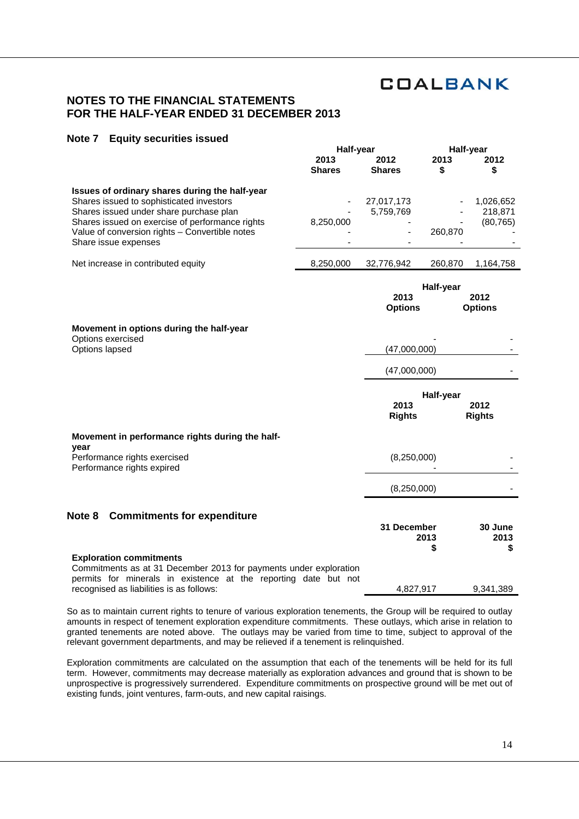## **NOTES TO THE FINANCIAL STATEMENTS FOR THE HALF-YEAR ENDED 31 DECEMBER 2013**

## **Note 7 Equity securities issued**

|                                                                                                                                                                                                                                                                    | Half-year             |                         | Half-year  |                                   |
|--------------------------------------------------------------------------------------------------------------------------------------------------------------------------------------------------------------------------------------------------------------------|-----------------------|-------------------------|------------|-----------------------------------|
|                                                                                                                                                                                                                                                                    | 2013<br><b>Shares</b> | 2012<br><b>Shares</b>   | 2013<br>\$ | 2012<br>\$                        |
| Issues of ordinary shares during the half-year<br>Shares issued to sophisticated investors<br>Shares issued under share purchase plan<br>Shares issued on exercise of performance rights<br>Value of conversion rights - Convertible notes<br>Share issue expenses | 8,250,000             | 27,017,173<br>5,759,769 | 260,870    | 1,026,652<br>218,871<br>(80, 765) |
| Net increase in contributed equity                                                                                                                                                                                                                                 | 8,250,000             | 32,776,942              | 260,870    | 1,164,758                         |
|                                                                                                                                                                                                                                                                    |                       | 2013<br><b>Options</b>  | Half-year  | 2012<br><b>Options</b>            |
| Movement in options during the half-year<br>Options exercised<br>Options lapsed                                                                                                                                                                                    |                       | (47,000,000)            |            |                                   |
|                                                                                                                                                                                                                                                                    |                       | (47,000,000)            |            |                                   |
|                                                                                                                                                                                                                                                                    |                       | 2013<br><b>Rights</b>   | Half-year  | 2012<br><b>Rights</b>             |
| Movement in performance rights during the half-<br>year                                                                                                                                                                                                            |                       |                         |            |                                   |
| Performance rights exercised<br>Performance rights expired                                                                                                                                                                                                         |                       | (8,250,000)             |            |                                   |
|                                                                                                                                                                                                                                                                    |                       | (8,250,000)             |            |                                   |
| <b>Commitments for expenditure</b><br>Note 8                                                                                                                                                                                                                       |                       | 31 December             | 2013<br>\$ | 30 June<br>2013<br>\$             |
| <b>Exploration commitments</b><br>Commitments as at 31 December 2013 for payments under exploration<br>permits for minerals in existence at the reporting date but not<br>recognised as liabilities is as follows:                                                 |                       | 4,827,917               |            | 9,341,389                         |

So as to maintain current rights to tenure of various exploration tenements, the Group will be required to outlay amounts in respect of tenement exploration expenditure commitments. These outlays, which arise in relation to granted tenements are noted above. The outlays may be varied from time to time, subject to approval of the relevant government departments, and may be relieved if a tenement is relinquished.

Exploration commitments are calculated on the assumption that each of the tenements will be held for its full term. However, commitments may decrease materially as exploration advances and ground that is shown to be unprospective is progressively surrendered. Expenditure commitments on prospective ground will be met out of existing funds, joint ventures, farm-outs, and new capital raisings.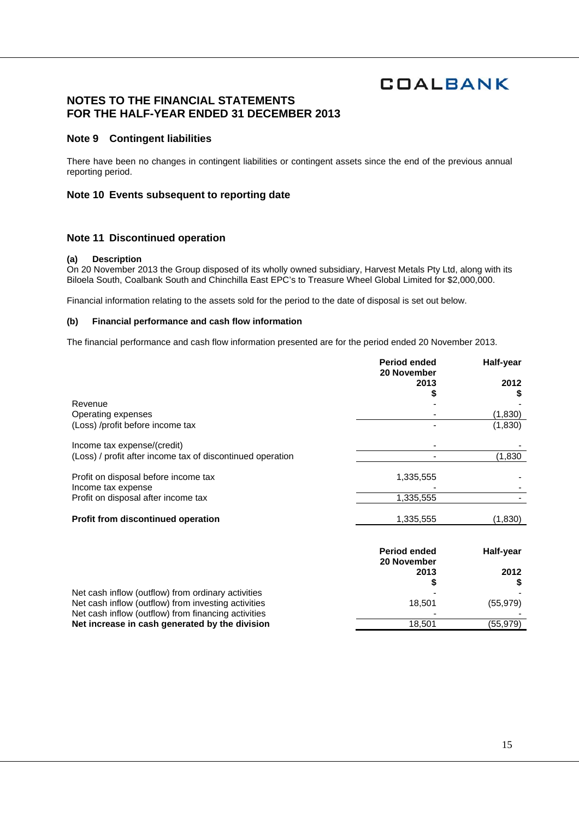## **NOTES TO THE FINANCIAL STATEMENTS FOR THE HALF-YEAR ENDED 31 DECEMBER 2013**

### **Note 9 Contingent liabilities**

There have been no changes in contingent liabilities or contingent assets since the end of the previous annual reporting period.

### **Note 10 Events subsequent to reporting date**

### **Note 11 Discontinued operation**

#### **(a) Description**

On 20 November 2013 the Group disposed of its wholly owned subsidiary, Harvest Metals Pty Ltd, along with its Biloela South, Coalbank South and Chinchilla East EPC's to Treasure Wheel Global Limited for \$2,000,000.

Financial information relating to the assets sold for the period to the date of disposal is set out below.

#### **(b) Financial performance and cash flow information**

The financial performance and cash flow information presented are for the period ended 20 November 2013.

|                                                            | <b>Period ended</b><br>20 November | Half-year |
|------------------------------------------------------------|------------------------------------|-----------|
|                                                            | 2013                               | 2012      |
| Revenue                                                    |                                    |           |
| Operating expenses                                         |                                    | (1,830)   |
| (Loss) /profit before income tax                           |                                    | (1,830)   |
| Income tax expense/(credit)                                |                                    |           |
| (Loss) / profit after income tax of discontinued operation |                                    | (1,830)   |
| Profit on disposal before income tax                       | 1,335,555                          |           |
| Income tax expense                                         |                                    |           |
| Profit on disposal after income tax                        | 1,335,555                          |           |
| Profit from discontinued operation                         | 1,335,555                          | (1,830)   |
|                                                            |                                    |           |
|                                                            | <b>Period ended</b>                | Half-year |

|                                                     | 20 November |           |
|-----------------------------------------------------|-------------|-----------|
|                                                     | 2013        | 2012      |
|                                                     |             |           |
| Net cash inflow (outflow) from ordinary activities  |             |           |
| Net cash inflow (outflow) from investing activities | 18.501      | (55, 979) |
| Net cash inflow (outflow) from financing activities |             |           |
| Net increase in cash generated by the division      | 18.501      | (55,979)  |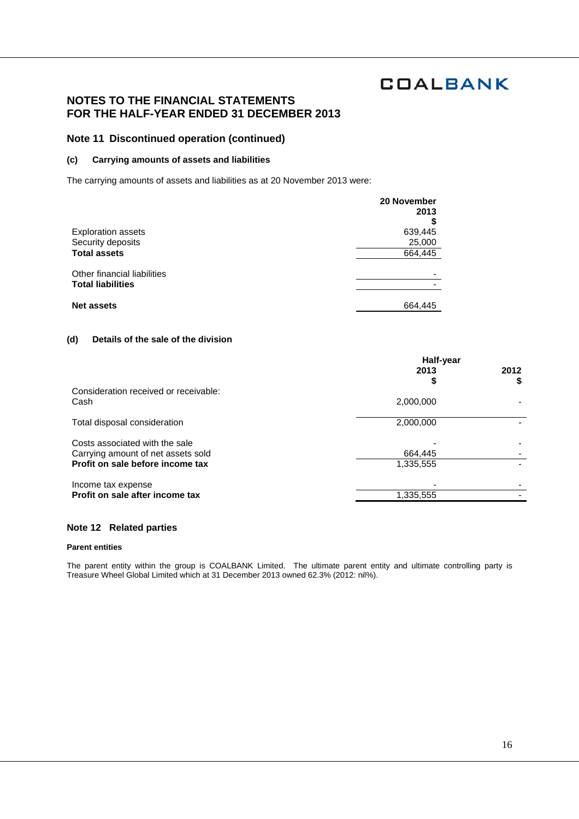## **NOTES TO THE FINANCIAL STATEMENTS FOR THE HALF-YEAR ENDED 31 DECEMBER 2013**

### **Note 11 Discontinued operation (continued)**

### **(c) Carrying amounts of assets and liabilities**

The carrying amounts of assets and liabilities as at 20 November 2013 were:

|                             | 20 November<br>2013      |
|-----------------------------|--------------------------|
|                             |                          |
| <b>Exploration assets</b>   | 639,445                  |
| Security deposits           | 25,000                   |
| <b>Total assets</b>         | 664,445                  |
| Other financial liabilities | $\overline{\phantom{0}}$ |
| <b>Total liabilities</b>    |                          |
| <b>Net assets</b>           | 664,445                  |

### **(d) Details of the sale of the division**

|                                                                      | Half-year  |            |
|----------------------------------------------------------------------|------------|------------|
|                                                                      | 2013<br>\$ | 2012<br>\$ |
| Consideration received or receivable:<br>Cash                        | 2,000,000  |            |
| Total disposal consideration                                         | 2,000,000  |            |
| Costs associated with the sale<br>Carrying amount of net assets sold | 664.445    |            |
| Profit on sale before income tax                                     | 1,335,555  |            |
| Income tax expense                                                   |            |            |
| Profit on sale after income tax                                      | 1,335,555  |            |

### **Note 12 Related parties**

#### **Parent entities**

The parent entity within the group is COALBANK Limited. The ultimate parent entity and ultimate controlling party is Treasure Wheel Global Limited which at 31 December 2013 owned 62.3% (2012: nil%).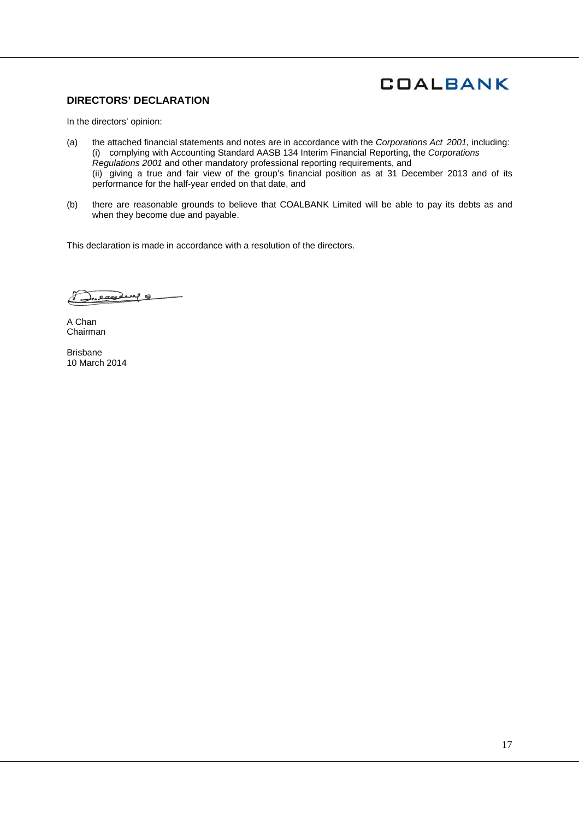## **DIRECTORS' DECLARATION**

In the directors' opinion:

- (a) the attached financial statements and notes are in accordance with the *Corporations Act 2001,* including: (i) complying with Accounting Standard AASB 134 Interim Financial Reporting, the *Corporations Regulations 2001* and other mandatory professional reporting requirements, and (ii) giving a true and fair view of the group's financial position as at 31 December 2013 and of its performance for the half-year ended on that date, and
- (b) there are reasonable grounds to believe that COALBANK Limited will be able to pay its debts as and when they become due and payable.

This declaration is made in accordance with a resolution of the directors.

eased of

A Chan Chairman

Brisbane 10 March 2014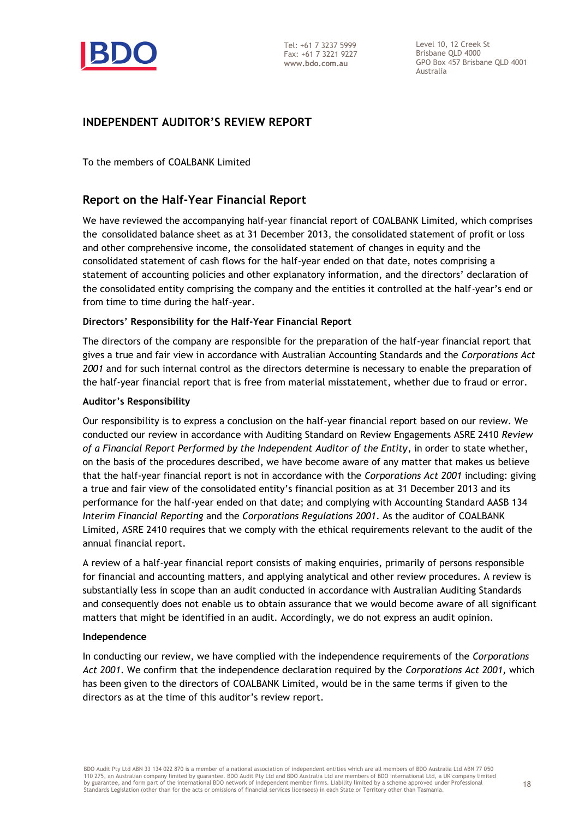

Level 10, 12 Creek St Brisbane QLD 4000 GPO Box 457 Brisbane QLD 4001 Australia

## **INDEPENDENT AUDITOR'S REVIEW REPORT**

To the members of COALBANK Limited

## **Report on the Half-Year Financial Report**

We have reviewed the accompanying half-year financial report of COALBANK Limited, which comprises the consolidated balance sheet as at 31 December 2013, the consolidated statement of profit or loss and other comprehensive income, the consolidated statement of changes in equity and the consolidated statement of cash flows for the half-year ended on that date, notes comprising a statement of accounting policies and other explanatory information, and the directors' declaration of the consolidated entity comprising the company and the entities it controlled at the half-year's end or from time to time during the half-year.

## **Directors' Responsibility for the Half-Year Financial Report**

The directors of the company are responsible for the preparation of the half-year financial report that gives a true and fair view in accordance with Australian Accounting Standards and the *Corporations Act 2001* and for such internal control as the directors determine is necessary to enable the preparation of the half-year financial report that is free from material misstatement, whether due to fraud or error.

## **Auditor's Responsibility**

Our responsibility is to express a conclusion on the half-year financial report based on our review. We conducted our review in accordance with Auditing Standard on Review Engagements ASRE 2410 *Review of a Financial Report Performed by the Independent Auditor of the Entity*, in order to state whether, on the basis of the procedures described, we have become aware of any matter that makes us believe that the half-year financial report is not in accordance with the *Corporations Act 2001* including: giving a true and fair view of the consolidated entity's financial position as at 31 December 2013 and its performance for the half-year ended on that date; and complying with Accounting Standard AASB 134 *Interim Financial Reporting* and the *Corporations Regulations 2001*. As the auditor of COALBANK Limited, ASRE 2410 requires that we comply with the ethical requirements relevant to the audit of the annual financial report.

A review of a half-year financial report consists of making enquiries, primarily of persons responsible for financial and accounting matters, and applying analytical and other review procedures. A review is substantially less in scope than an audit conducted in accordance with Australian Auditing Standards and consequently does not enable us to obtain assurance that we would become aware of all significant matters that might be identified in an audit. Accordingly, we do not express an audit opinion.

## **Independence**

In conducting our review, we have complied with the independence requirements of the *Corporations Act 2001*. We confirm that the independence declaration required by the *Corporations Act 2001,* which has been given to the directors of COALBANK Limited, would be in the same terms if given to the directors as at the time of this auditor's review report.